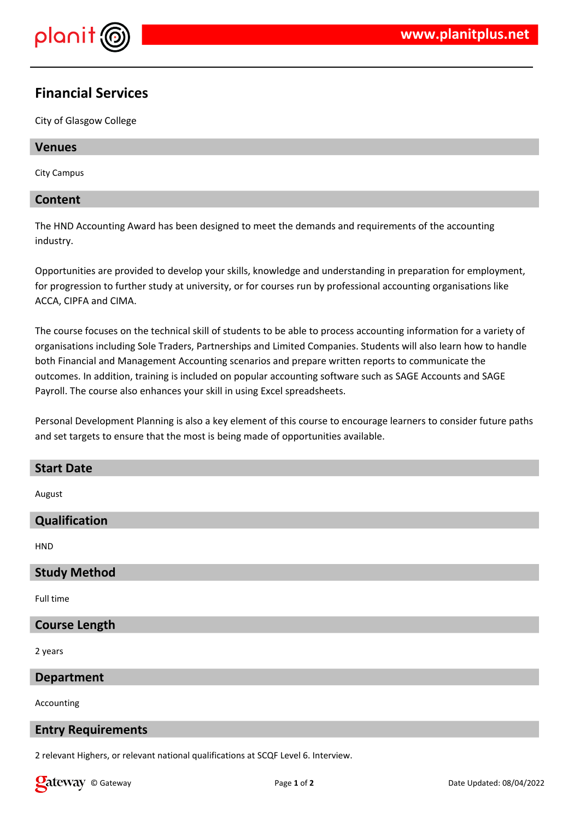

# **Financial Services**

City of Glasgow College

#### **Venues**

City Campus

#### **Content**

The HND Accounting Award has been designed to meet the demands and requirements of the accounting industry.

Opportunities are provided to develop your skills, knowledge and understanding in preparation for employment, for progression to further study at university, or for courses run by professional accounting organisations like ACCA, CIPFA and CIMA.

The course focuses on the technical skill of students to be able to process accounting information for a variety of organisations including Sole Traders, Partnerships and Limited Companies. Students will also learn how to handle both Financial and Management Accounting scenarios and prepare written reports to communicate the outcomes. In addition, training is included on popular accounting software such as SAGE Accounts and SAGE Payroll. The course also enhances your skill in using Excel spreadsheets.

Personal Development Planning is also a key element of this course to encourage learners to consider future paths and set targets to ensure that the most is being made of opportunities available.

# **Start Date** August **Qualification HND Study Method** Full time **Course Length** 2 years **Department**

Accounting

#### **Entry Requirements**

2 relevant Highers, or relevant national qualifications at SCQF Level 6. Interview.